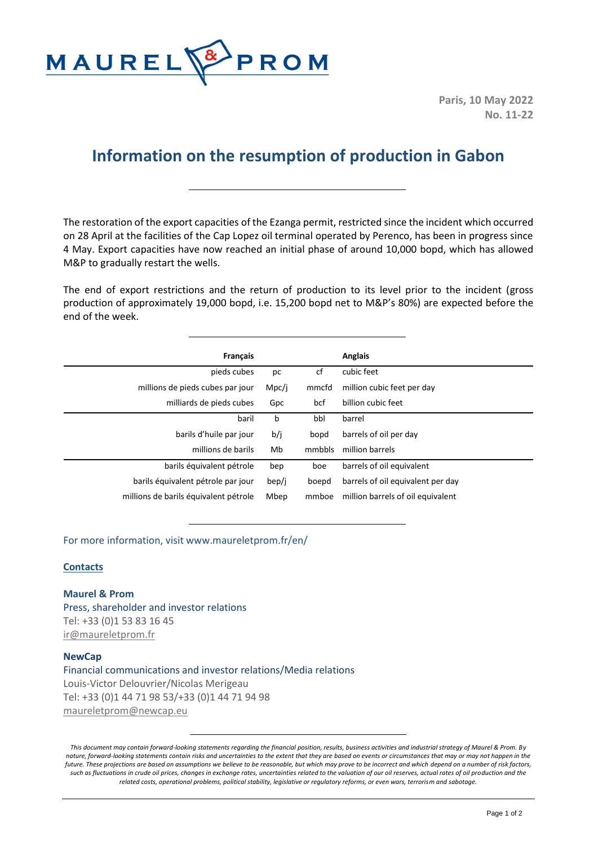

**Paris, 10 May 2022 No. 11-22**

## **Information on the resumption of production in Gabon**

The restoration of the export capacities of the Ezanga permit, restricted since the incident which occurred on 28 April at the facilities of the Cap Lopez oil terminal operated by Perenco, has been in progress since 4 May. Export capacities have now reached an initial phase of around 10,000 bopd, which has allowed M&P to gradually restart the wells.

The end of export restrictions and the return of production to its level prior to the incident (gross production of approximately 19,000 bopd, i.e. 15,200 bopd net to M&P's 80%) are expected before the end of the week.

| <b>Français</b>                       |       |        | Anglais                           |
|---------------------------------------|-------|--------|-----------------------------------|
| pieds cubes                           | рc    | cf     | cubic feet                        |
| millions de pieds cubes par jour      | Mpc/j | mmcfd  | million cubic feet per day        |
| milliards de pieds cubes              | Gpc   | bcf    | billion cubic feet                |
| baril                                 | b     | bbl    | barrel                            |
| barils d'huile par jour               | b/j   | bopd   | barrels of oil per day            |
| millions de barils                    | Mb    | mmbbls | million barrels                   |
| barils équivalent pétrole             | bep   | boe    | barrels of oil equivalent         |
| barils équivalent pétrole par jour    | bep/j | boepd  | barrels of oil equivalent per day |
| millions de barils équivalent pétrole | Mbep  | mmboe  | million barrels of oil equivalent |

For more information, visit www.maureletprom.fr/en/

## **Contacts**

**Maurel & Prom** Press, shareholder and investor relations Tel: +33 (0)1 53 83 16 45 [ir@maureletprom.fr](mailto:ir@maureletprom.fr)

## **NewCap**

Financial communications and investor relations/Media relations Louis-Victor Delouvrier/Nicolas Merigeau Tel: +33 (0)1 44 71 98 53/+33 (0)1 44 71 94 98 [maureletprom@newcap.eu](mailto:maureletprom@newcap.eu)

*This document may contain forward-looking statements regarding the financial position, results, business activities and industrial strategy of Maurel & Prom. By nature, forward-looking statements contain risks and uncertainties to the extent that they are based on events or circumstances that may or may not happen in the future. These projections are based on assumptions we believe to be reasonable, but which may prove to be incorrect and which depend on a number of risk factors, such as fluctuations in crude oil prices, changes in exchange rates, uncertainties related to the valuation of our oil reserves, actual rates of oil production and the related costs, operational problems, political stability, legislative or regulatory reforms, or even wars, terrorism and sabotage.*